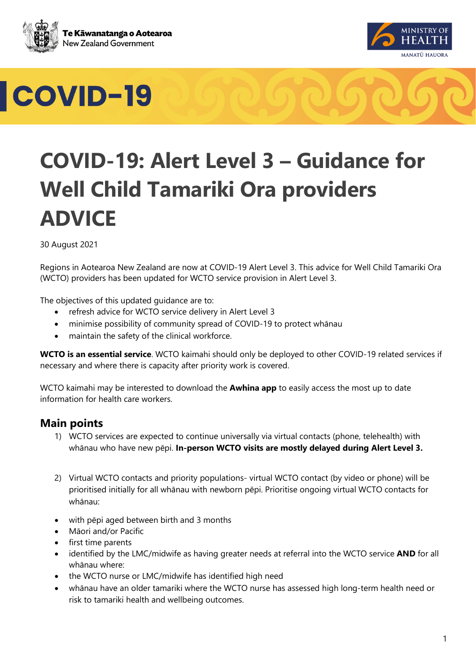





### **COVID-19: Alert Level 3 – Guidance for Well Child Tamariki Ora providers ADVICE**

30 August 2021

Regions in Aotearoa New Zealand are now at COVID-19 Alert Level 3. This advice for Well Child Tamariki Ora (WCTO) providers has been updated for WCTO service provision in Alert Level 3.

The objectives of this updated guidance are to:

- refresh advice for WCTO service delivery in Alert Level 3
- minimise possibility of community spread of COVID-19 to protect whānau
- maintain the safety of the clinical workforce.

**WCTO is an essential service**. WCTO kaimahi should only be deployed to other COVID-19 related services if necessary and where there is capacity after priority work is covered.

WCTO kaimahi may be interested to download the **Awhina app** to easily access the most up to date information for health care workers.

#### **Main points**

- 1) WCTO services are expected to continue universally via virtual contacts (phone, telehealth) with whānau who have new pēpi. **In-person WCTO visits are mostly delayed during Alert Level 3.**
- 2) Virtual WCTO contacts and priority populations- virtual WCTO contact (by video or phone) will be prioritised initially for all whānau with newborn pēpi. Prioritise ongoing virtual WCTO contacts for whānau:
- with pēpi aged between birth and 3 months
- Māori and/or Pacific
- first time parents
- identified by the LMC/midwife as having greater needs at referral into the WCTO service **AND** for all whānau where:
- the WCTO nurse or LMC/midwife has identified high need
- whānau have an older tamariki where the WCTO nurse has assessed high long-term health need or risk to tamariki health and wellbeing outcomes.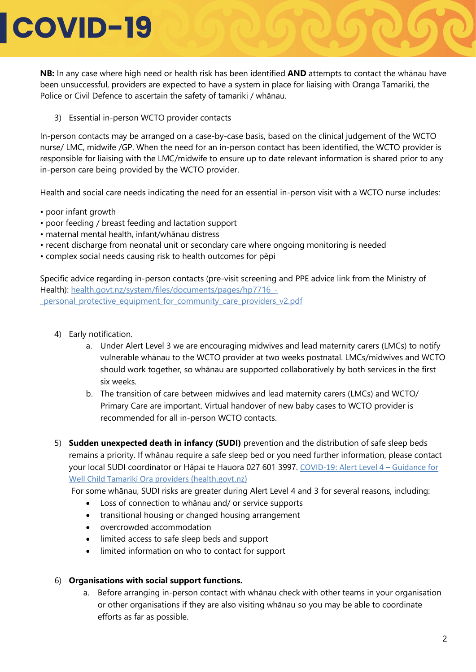## **COVID-19**

**NB:** In any case where high need or health risk has been identified **AND** attempts to contact the whānau have been unsuccessful, providers are expected to have a system in place for liaising with Oranga Tamariki, the Police or Civil Defence to ascertain the safety of tamariki / whānau.

3) Essential in-person WCTO provider contacts

In-person contacts may be arranged on a case-by-case basis, based on the clinical judgement of the WCTO nurse/ LMC, midwife /GP. When the need for an in-person contact has been identified, the WCTO provider is responsible for liaising with the LMC/midwife to ensure up to date relevant information is shared prior to any in-person care being provided by the WCTO provider.

Health and social care needs indicating the need for an essential in-person visit with a WCTO nurse includes:

- poor infant growth
- poor feeding / breast feeding and lactation support
- maternal mental health, infant/whānau distress
- recent discharge from neonatal unit or secondary care where ongoing monitoring is needed
- complex social needs causing risk to health outcomes for pēpi

Specific advice regarding in-person contacts (pre-visit screening and PPE advice link from the Ministry of Health): [health.govt.nz/system/files/documents/pages/hp7716\\_](https://www.health.govt.nz/system/files/documents/pages/hp7716_-_personal_protective_equipment_for_community_care_providers_v2.pdf)- [\\_personal\\_protective\\_equipment\\_for\\_community\\_care\\_providers\\_v2.pdf](https://www.health.govt.nz/system/files/documents/pages/hp7716_-_personal_protective_equipment_for_community_care_providers_v2.pdf)

- 4) Early notification.
	- a. Under Alert Level 3 we are encouraging midwives and lead maternity carers (LMCs) to notify vulnerable whānau to the WCTO provider at two weeks postnatal. LMCs/midwives and WCTO should work together, so whānau are supported collaboratively by both services in the first six weeks.
	- b. The transition of care between midwives and lead maternity carers (LMCs) and WCTO/ Primary Care are important. Virtual handover of new baby cases to WCTO provider is recommended for all in-person WCTO contacts.
- 5) **Sudden unexpected death in infancy (SUDI)** prevention and the distribution of safe sleep beds remains a priority. If whānau require a safe sleep bed or you need further information, please contact your local SUDI coordinator or Hāpai te Hauora 027 601 3997. [COVID-19: Alert Level 4 –](https://www.health.govt.nz/system/files/documents/pages/covid-19_-_sudi_guidance_at_alert_level_4_26_aug_2021.pdf) Guidance for [Well Child Tamariki Ora providers \(health.govt.nz\)](https://www.health.govt.nz/system/files/documents/pages/covid-19_-_sudi_guidance_at_alert_level_4_26_aug_2021.pdf)

For some whānau, SUDI risks are greater during Alert Level 4 and 3 for several reasons, including:

- Loss of connection to whānau and/ or service supports
- transitional housing or changed housing arrangement
- overcrowded accommodation
- limited access to safe sleep beds and support
- limited information on who to contact for support

#### 6) **Organisations with social support functions.**

a. Before arranging in-person contact with whānau check with other teams in your organisation or other organisations if they are also visiting whānau so you may be able to coordinate efforts as far as possible.